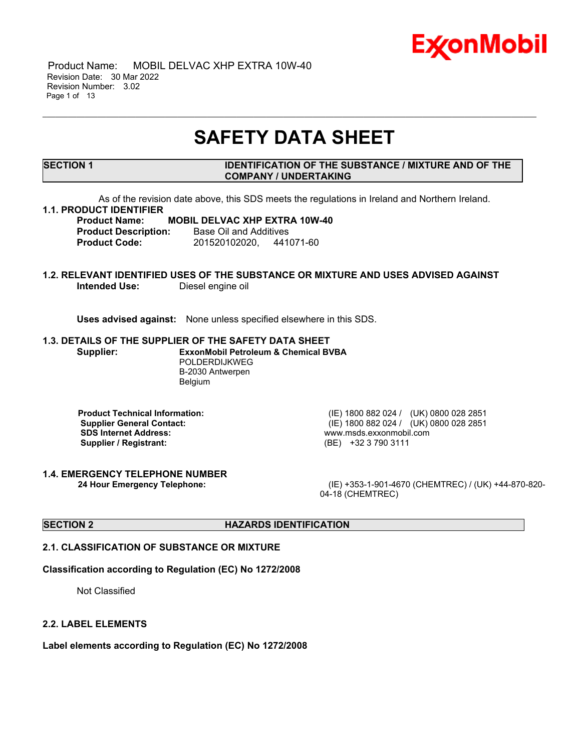

 Product Name: MOBIL DELVAC XHP EXTRA 10W-40 Revision Date: 30 Mar 2022 Revision Number: 3.02 Page 1 of 13

## **SAFETY DATA SHEET**

\_\_\_\_\_\_\_\_\_\_\_\_\_\_\_\_\_\_\_\_\_\_\_\_\_\_\_\_\_\_\_\_\_\_\_\_\_\_\_\_\_\_\_\_\_\_\_\_\_\_\_\_\_\_\_\_\_\_\_\_\_\_\_\_\_\_\_\_\_\_\_\_\_\_\_\_\_\_\_\_\_\_\_\_\_\_\_\_\_\_\_\_\_\_\_\_\_\_\_\_\_\_\_\_\_\_\_\_\_\_\_\_\_\_\_\_\_

#### **SECTION 1 IDENTIFICATION OF THE SUBSTANCE / MIXTURE AND OF THE COMPANY / UNDERTAKING**

As of the revision date above, this SDS meets the regulations in Ireland and Northern Ireland.

#### **1.1. PRODUCT IDENTIFIER**

#### **Product Name: MOBIL DELVAC XHP EXTRA 10W-40 Product Description:** Base Oil and Additives

**Product Code:** 201520102020, 441071-60

## **1.2. RELEVANT IDENTIFIED USES OF THE SUBSTANCE OR MIXTURE AND USES ADVISED AGAINST Intended Use:** Diesel engine oil

**Uses advised against:** None unless specified elsewhere in this SDS.

#### **1.3. DETAILS OF THE SUPPLIER OF THE SAFETY DATA SHEET**

**Supplier: ExxonMobil Petroleum & Chemical BVBA** POLDERDIJKWEG B-2030 Antwerpen Belgium

**SDS Internet Address:** www.msds.exxonmobil.com **Supplier / Registrant:** (BE) +32 3 790 3111

**1.4. EMERGENCY TELEPHONE NUMBER**

**Product Technical Information:** (IE) 1800 882 024 / (UK) 0800 028 2851 **Supplier General Contact:** (IE) 1800 882 024 / (UK) 0800 028 2851

**24 Hour Emergency Telephone:** (IE) +353-1-901-4670 (CHEMTREC) / (UK) +44-870-820- 04-18 (CHEMTREC)

#### **SECTION 2 HAZARDS IDENTIFICATION**

#### **2.1. CLASSIFICATION OF SUBSTANCE OR MIXTURE**

#### **Classification according to Regulation (EC) No 1272/2008**

Not Classified

#### **2.2. LABEL ELEMENTS**

**Label elements according to Regulation (EC) No 1272/2008**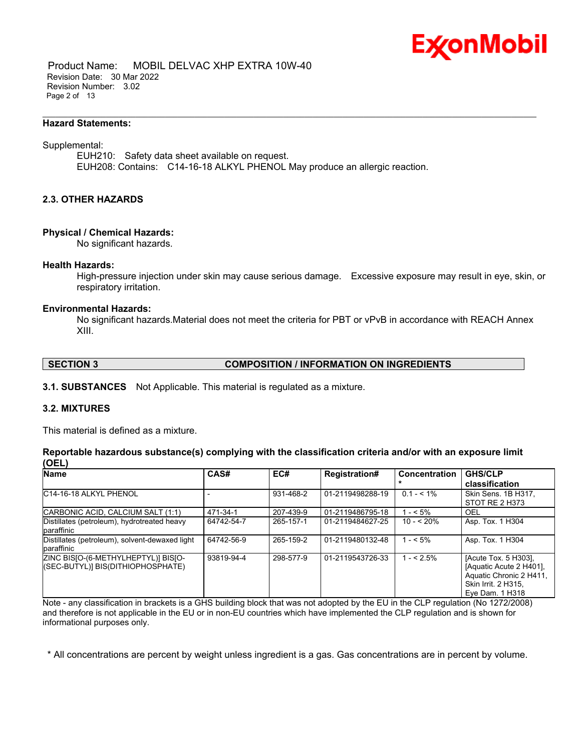

 Product Name: MOBIL DELVAC XHP EXTRA 10W-40 Revision Date: 30 Mar 2022 Revision Number: 3.02 Page 2 of 13

#### **Hazard Statements:**

#### Supplemental:

EUH210: Safety data sheet available on request. EUH208: Contains: C14-16-18 ALKYL PHENOL May produce an allergic reaction.

\_\_\_\_\_\_\_\_\_\_\_\_\_\_\_\_\_\_\_\_\_\_\_\_\_\_\_\_\_\_\_\_\_\_\_\_\_\_\_\_\_\_\_\_\_\_\_\_\_\_\_\_\_\_\_\_\_\_\_\_\_\_\_\_\_\_\_\_\_\_\_\_\_\_\_\_\_\_\_\_\_\_\_\_\_\_\_\_\_\_\_\_\_\_\_\_\_\_\_\_\_\_\_\_\_\_\_\_\_\_\_\_\_\_\_\_\_

## **2.3. OTHER HAZARDS**

#### **Physical / Chemical Hazards:**

No significant hazards.

#### **Health Hazards:**

High-pressure injection under skin may cause serious damage. Excessive exposure may result in eye, skin, or respiratory irritation.

#### **Environmental Hazards:**

No significant hazards.Material does not meet the criteria for PBT or vPvB in accordance with REACH Annex XIII.

#### **SECTION 3 COMPOSITION / INFORMATION ON INGREDIENTS**

**3.1. SUBSTANCES** Not Applicable. This material is regulated as a mixture.

## **3.2. MIXTURES**

This material is defined as a mixture.

|       |  |  | Reportable hazardous substance(s) complying with the classification criteria and/or with an exposure limit |  |  |
|-------|--|--|------------------------------------------------------------------------------------------------------------|--|--|
| (OEL) |  |  |                                                                                                            |  |  |

| <b>Name</b>                                                              | CAS#       | EC#       | <b>Registration#</b> | <b>Concentration</b> | <b>GHS/CLP</b><br>classification                                                                                     |
|--------------------------------------------------------------------------|------------|-----------|----------------------|----------------------|----------------------------------------------------------------------------------------------------------------------|
| C <sub>14</sub> -16-18 ALKYL PHENOL                                      |            | 931-468-2 | 01-2119498288-19     | $0.1 - 5.1\%$        | Skin Sens. 1B H317,<br>STOT RE 2 H373                                                                                |
| CARBONIC ACID, CALCIUM SALT (1:1)                                        | 471-34-1   | 207-439-9 | 01-2119486795-18     | $1 - 5\%$            | OEL                                                                                                                  |
| Distillates (petroleum), hydrotreated heavy<br>paraffinic                | 64742-54-7 | 265-157-1 | 01-2119484627-25     | $10 - 520%$          | Asp. Tox. 1 H304                                                                                                     |
| Distillates (petroleum), solvent-dewaxed light<br>paraffinic             | 64742-56-9 | 265-159-2 | 01-2119480132-48     | $1 - 5\%$            | Asp. Tox. 1 H304                                                                                                     |
| ZINC BISJO-(6-METHYLHEPTYL)] BISJO-<br>(SEC-BUTYL)] BIS(DITHIOPHOSPHATE) | 93819-94-4 | 298-577-9 | 01-2119543726-33     | $1 - 52.5\%$         | [Acute Tox. 5 H303],<br>[Aquatic Acute 2 H401].<br>Aquatic Chronic 2 H411,<br>Skin Irrit. 2 H315,<br>Eve Dam. 1 H318 |

Note - any classification in brackets is a GHS building block that was not adopted by the EU in the CLP regulation (No 1272/2008) and therefore is not applicable in the EU or in non-EU countries which have implemented the CLP regulation and is shown for informational purposes only.

\* All concentrations are percent by weight unless ingredient is a gas. Gas concentrations are in percent by volume.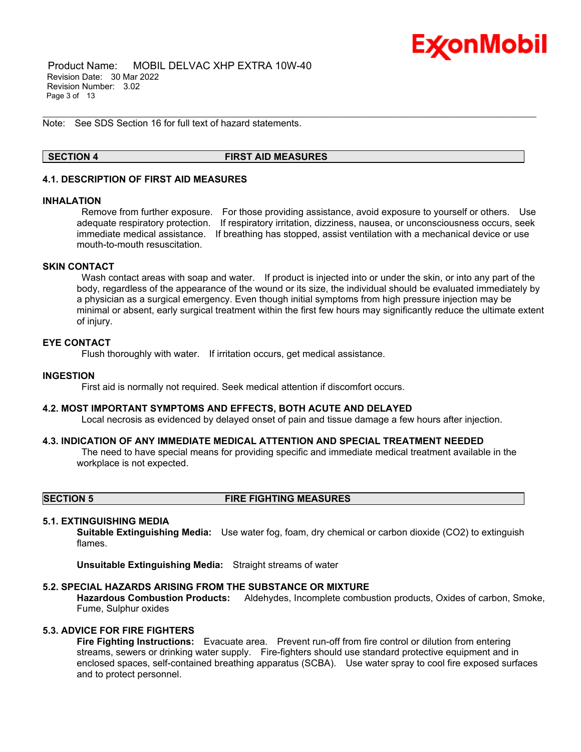

 Product Name: MOBIL DELVAC XHP EXTRA 10W-40 Revision Date: 30 Mar 2022 Revision Number: 3.02 Page 3 of 13

Note: See SDS Section 16 for full text of hazard statements.

#### **SECTION 4 FIRST AID MEASURES**

\_\_\_\_\_\_\_\_\_\_\_\_\_\_\_\_\_\_\_\_\_\_\_\_\_\_\_\_\_\_\_\_\_\_\_\_\_\_\_\_\_\_\_\_\_\_\_\_\_\_\_\_\_\_\_\_\_\_\_\_\_\_\_\_\_\_\_\_\_\_\_\_\_\_\_\_\_\_\_\_\_\_\_\_\_\_\_\_\_\_\_\_\_\_\_\_\_\_\_\_\_\_\_\_\_\_\_\_\_\_\_\_\_\_\_\_\_

## **4.1. DESCRIPTION OF FIRST AID MEASURES**

#### **INHALATION**

Remove from further exposure. For those providing assistance, avoid exposure to yourself or others. Use adequate respiratory protection. If respiratory irritation, dizziness, nausea, or unconsciousness occurs, seek immediate medical assistance. If breathing has stopped, assist ventilation with a mechanical device or use mouth-to-mouth resuscitation.

#### **SKIN CONTACT**

Wash contact areas with soap and water. If product is injected into or under the skin, or into any part of the body, regardless of the appearance of the wound or its size, the individual should be evaluated immediately by a physician as a surgical emergency. Even though initial symptoms from high pressure injection may be minimal or absent, early surgical treatment within the first few hours may significantly reduce the ultimate extent of injury.

#### **EYE CONTACT**

Flush thoroughly with water. If irritation occurs, get medical assistance.

#### **INGESTION**

First aid is normally not required. Seek medical attention if discomfort occurs.

#### **4.2. MOST IMPORTANT SYMPTOMS AND EFFECTS, BOTH ACUTE AND DELAYED**

Local necrosis as evidenced by delayed onset of pain and tissue damage a few hours after injection.

#### **4.3. INDICATION OF ANY IMMEDIATE MEDICAL ATTENTION AND SPECIAL TREATMENT NEEDED**

The need to have special means for providing specific and immediate medical treatment available in the workplace is not expected.

**SECTION 5 FIRE FIGHTING MEASURES**

#### **5.1. EXTINGUISHING MEDIA**

**Suitable Extinguishing Media:** Use water fog, foam, dry chemical or carbon dioxide (CO2) to extinguish flames.

**Unsuitable Extinguishing Media:** Straight streams of water

#### **5.2. SPECIAL HAZARDS ARISING FROM THE SUBSTANCE OR MIXTURE**

**Hazardous Combustion Products:** Aldehydes, Incomplete combustion products, Oxides of carbon, Smoke, Fume, Sulphur oxides

#### **5.3. ADVICE FOR FIRE FIGHTERS**

**Fire Fighting Instructions:** Evacuate area. Prevent run-off from fire control or dilution from entering streams, sewers or drinking water supply. Fire-fighters should use standard protective equipment and in enclosed spaces, self-contained breathing apparatus (SCBA). Use water spray to cool fire exposed surfaces and to protect personnel.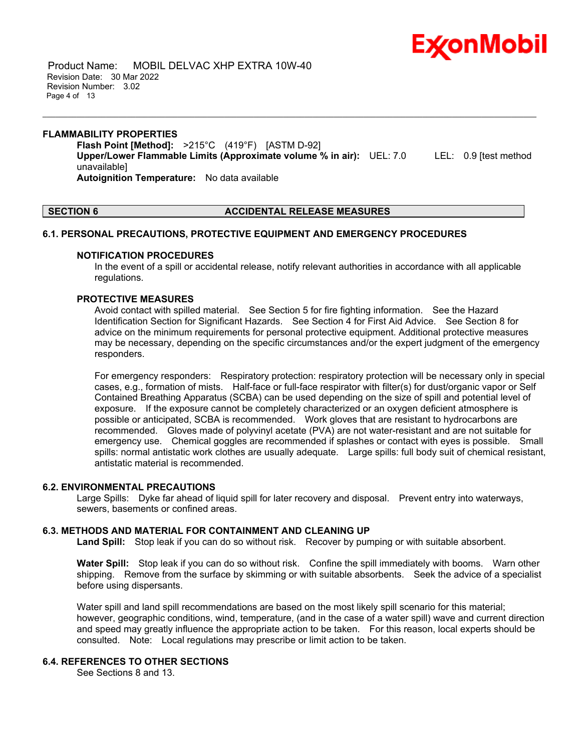

 Product Name: MOBIL DELVAC XHP EXTRA 10W-40 Revision Date: 30 Mar 2022 Revision Number: 3.02 Page 4 of 13

#### **FLAMMABILITY PROPERTIES Flash Point [Method]:** >215°C (419°F) [ASTM D-92] **Upper/Lower Flammable Limits (Approximate volume % in air):** UEL: 7.0 LEL: 0.9 [test method unavailable] **Autoignition Temperature:** No data available

\_\_\_\_\_\_\_\_\_\_\_\_\_\_\_\_\_\_\_\_\_\_\_\_\_\_\_\_\_\_\_\_\_\_\_\_\_\_\_\_\_\_\_\_\_\_\_\_\_\_\_\_\_\_\_\_\_\_\_\_\_\_\_\_\_\_\_\_\_\_\_\_\_\_\_\_\_\_\_\_\_\_\_\_\_\_\_\_\_\_\_\_\_\_\_\_\_\_\_\_\_\_\_\_\_\_\_\_\_\_\_\_\_\_\_\_\_

#### **SECTION 6 ACCIDENTAL RELEASE MEASURES**

#### **6.1. PERSONAL PRECAUTIONS, PROTECTIVE EQUIPMENT AND EMERGENCY PROCEDURES**

#### **NOTIFICATION PROCEDURES**

In the event of a spill or accidental release, notify relevant authorities in accordance with all applicable regulations.

#### **PROTECTIVE MEASURES**

Avoid contact with spilled material. See Section 5 for fire fighting information. See the Hazard Identification Section for Significant Hazards. See Section 4 for First Aid Advice. See Section 8 for advice on the minimum requirements for personal protective equipment. Additional protective measures may be necessary, depending on the specific circumstances and/or the expert judgment of the emergency responders.

For emergency responders: Respiratory protection: respiratory protection will be necessary only in special cases, e.g., formation of mists. Half-face or full-face respirator with filter(s) for dust/organic vapor or Self Contained Breathing Apparatus (SCBA) can be used depending on the size of spill and potential level of exposure. If the exposure cannot be completely characterized or an oxygen deficient atmosphere is possible or anticipated, SCBA is recommended. Work gloves that are resistant to hydrocarbons are recommended. Gloves made of polyvinyl acetate (PVA) are not water-resistant and are not suitable for emergency use. Chemical goggles are recommended if splashes or contact with eyes is possible. Small spills: normal antistatic work clothes are usually adequate. Large spills: full body suit of chemical resistant, antistatic material is recommended.

#### **6.2. ENVIRONMENTAL PRECAUTIONS**

Large Spills: Dyke far ahead of liquid spill for later recovery and disposal. Prevent entry into waterways, sewers, basements or confined areas.

#### **6.3. METHODS AND MATERIAL FOR CONTAINMENT AND CLEANING UP**

**Land Spill:** Stop leak if you can do so without risk. Recover by pumping or with suitable absorbent.

**Water Spill:** Stop leak if you can do so without risk. Confine the spill immediately with booms. Warn other shipping. Remove from the surface by skimming or with suitable absorbents. Seek the advice of a specialist before using dispersants.

Water spill and land spill recommendations are based on the most likely spill scenario for this material; however, geographic conditions, wind, temperature, (and in the case of a water spill) wave and current direction and speed may greatly influence the appropriate action to be taken. For this reason, local experts should be consulted. Note: Local regulations may prescribe or limit action to be taken.

#### **6.4. REFERENCES TO OTHER SECTIONS**

See Sections 8 and 13.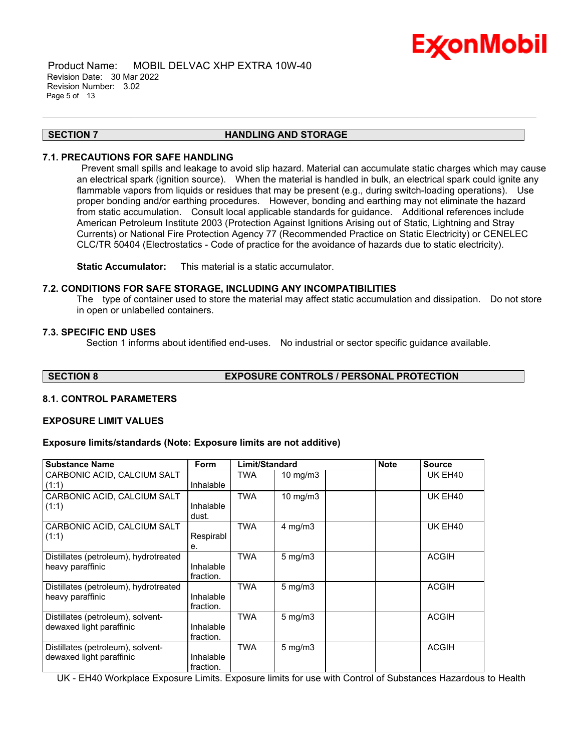

 Product Name: MOBIL DELVAC XHP EXTRA 10W-40 Revision Date: 30 Mar 2022 Revision Number: 3.02 Page 5 of 13

#### **SECTION 7 HANDLING AND STORAGE**

\_\_\_\_\_\_\_\_\_\_\_\_\_\_\_\_\_\_\_\_\_\_\_\_\_\_\_\_\_\_\_\_\_\_\_\_\_\_\_\_\_\_\_\_\_\_\_\_\_\_\_\_\_\_\_\_\_\_\_\_\_\_\_\_\_\_\_\_\_\_\_\_\_\_\_\_\_\_\_\_\_\_\_\_\_\_\_\_\_\_\_\_\_\_\_\_\_\_\_\_\_\_\_\_\_\_\_\_\_\_\_\_\_\_\_\_\_

#### **7.1. PRECAUTIONS FOR SAFE HANDLING**

Prevent small spills and leakage to avoid slip hazard. Material can accumulate static charges which may cause an electrical spark (ignition source). When the material is handled in bulk, an electrical spark could ignite any flammable vapors from liquids or residues that may be present (e.g., during switch-loading operations). Use proper bonding and/or earthing procedures. However, bonding and earthing may not eliminate the hazard from static accumulation. Consult local applicable standards for guidance. Additional references include American Petroleum Institute 2003 (Protection Against Ignitions Arising out of Static, Lightning and Stray Currents) or National Fire Protection Agency 77 (Recommended Practice on Static Electricity) or CENELEC CLC/TR 50404 (Electrostatics - Code of practice for the avoidance of hazards due to static electricity).

**Static Accumulator:** This material is a static accumulator.

#### **7.2. CONDITIONS FOR SAFE STORAGE, INCLUDING ANY INCOMPATIBILITIES**

The type of container used to store the material may affect static accumulation and dissipation. Do not store in open or unlabelled containers.

#### **7.3. SPECIFIC END USES**

Section 1 informs about identified end-uses. No industrial or sector specific guidance available.

**SECTION 8 EXPOSURE CONTROLS / PERSONAL PROTECTION**

#### **8.1. CONTROL PARAMETERS**

#### **EXPOSURE LIMIT VALUES**

#### **Exposure limits/standards (Note: Exposure limits are not additive)**

| <b>Substance Name</b>                                         | <b>Form</b>            | Limit/Standard |                  | <b>Note</b> | <b>Source</b>       |
|---------------------------------------------------------------|------------------------|----------------|------------------|-------------|---------------------|
| CARBONIC ACID, CALCIUM SALT<br>(1:1)                          | Inhalable              | <b>TWA</b>     | 10 mg/m $3$      |             | UK EH <sub>40</sub> |
| CARBONIC ACID, CALCIUM SALT<br>(1:1)                          | Inhalable<br>dust.     | <b>TWA</b>     | 10 mg/m $3$      |             | UK EH40             |
| CARBONIC ACID, CALCIUM SALT<br>(1:1)                          | Respirabl<br>е.        | <b>TWA</b>     | $4$ mg/m $3$     |             | UK EH40             |
| Distillates (petroleum), hydrotreated<br>heavy paraffinic     | Inhalable<br>fraction. | <b>TWA</b>     | $5 \text{ mg/m}$ |             | <b>ACGIH</b>        |
| Distillates (petroleum), hydrotreated<br>heavy paraffinic     | Inhalable<br>fraction. | TWA            | $5 \text{ mg/m}$ |             | <b>ACGIH</b>        |
| Distillates (petroleum), solvent-<br>dewaxed light paraffinic | Inhalable<br>fraction. | <b>TWA</b>     | $5 \text{ mg/m}$ |             | <b>ACGIH</b>        |
| Distillates (petroleum), solvent-<br>dewaxed light paraffinic | Inhalable<br>fraction. | <b>TWA</b>     | $5 \text{ mg/m}$ |             | <b>ACGIH</b>        |

UK - EH40 Workplace Exposure Limits. Exposure limits for use with Control of Substances Hazardous to Health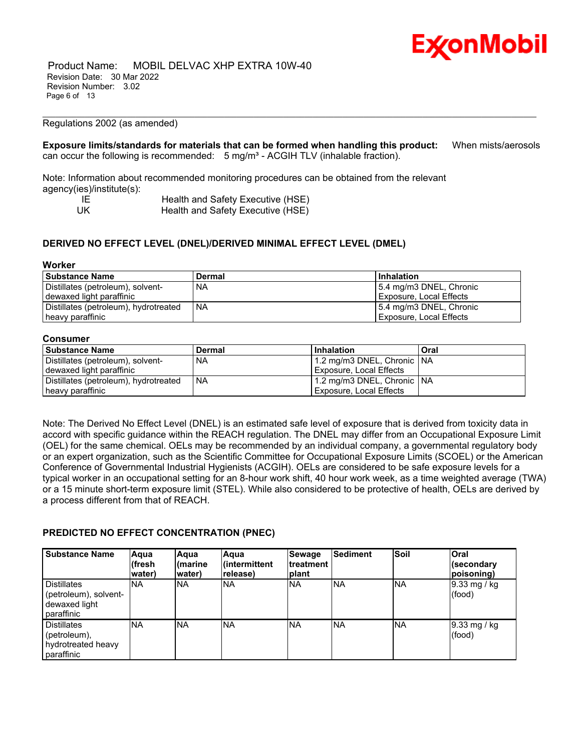

 Product Name: MOBIL DELVAC XHP EXTRA 10W-40 Revision Date: 30 Mar 2022 Revision Number: 3.02 Page 6 of 13

#### Regulations 2002 (as amended)

**Exposure limits/standards for materials that can be formed when handling this product:** When mists/aerosols can occur the following is recommended: 5 mg/m<sup>3</sup> - ACGIH TLV (inhalable fraction).

\_\_\_\_\_\_\_\_\_\_\_\_\_\_\_\_\_\_\_\_\_\_\_\_\_\_\_\_\_\_\_\_\_\_\_\_\_\_\_\_\_\_\_\_\_\_\_\_\_\_\_\_\_\_\_\_\_\_\_\_\_\_\_\_\_\_\_\_\_\_\_\_\_\_\_\_\_\_\_\_\_\_\_\_\_\_\_\_\_\_\_\_\_\_\_\_\_\_\_\_\_\_\_\_\_\_\_\_\_\_\_\_\_\_\_\_\_

Note: Information about recommended monitoring procedures can be obtained from the relevant agency(ies)/institute(s):

| IF   | Health and Safety Executive (HSE) |
|------|-----------------------------------|
| - UK | Health and Safety Executive (HSE) |

#### **DERIVED NO EFFECT LEVEL (DNEL)/DERIVED MINIMAL EFFECT LEVEL (DMEL)**

#### **Worker**

| <b>Substance Name</b>                 | <b>Dermal</b> | <b>Inhalation</b>       |  |  |  |
|---------------------------------------|---------------|-------------------------|--|--|--|
| Distillates (petroleum), solvent-     | <b>NA</b>     | 5.4 mg/m3 DNEL, Chronic |  |  |  |
| dewaxed light paraffinic              |               | Exposure, Local Effects |  |  |  |
| Distillates (petroleum), hydrotreated | l NA          | 5.4 mg/m3 DNEL, Chronic |  |  |  |
| heavy paraffinic                      |               | Exposure, Local Effects |  |  |  |

#### **Consumer**

| l Substance Name                      | ∣ Dermal | <b>Inhalation</b>             | Oral |
|---------------------------------------|----------|-------------------------------|------|
| Distillates (petroleum), solvent-     | . NA     | 1.2 mg/m3 DNEL, Chronic   NA  |      |
| l dewaxed light paraffinic            |          | ' Exposure, Local Effects     |      |
| Distillates (petroleum), hydrotreated | l NA     | 11.2 mg/m3 DNEL, Chronic   NA |      |
| heavy paraffinic                      |          | Exposure, Local Effects       |      |

Note: The Derived No Effect Level (DNEL) is an estimated safe level of exposure that is derived from toxicity data in accord with specific guidance within the REACH regulation. The DNEL may differ from an Occupational Exposure Limit (OEL) for the same chemical. OELs may be recommended by an individual company, a governmental regulatory body or an expert organization, such as the Scientific Committee for Occupational Exposure Limits (SCOEL) or the American Conference of Governmental Industrial Hygienists (ACGIH). OELs are considered to be safe exposure levels for a typical worker in an occupational setting for an 8-hour work shift, 40 hour work week, as a time weighted average (TWA) or a 15 minute short-term exposure limit (STEL). While also considered to be protective of health, OELs are derived by a process different from that of REACH.

#### **PREDICTED NO EFFECT CONCENTRATION (PNEC)**

| <b>Substance Name</b>                                                               | Aqua<br>l(fresh<br>water) | Aqua<br>marine<br>water) | Aqua<br>lintermittent<br>release) | <b>Sewage</b><br>Itreatment<br>Iplant | Sediment   | <b>Soil</b> | <b>Oral</b><br>(secondary<br>(poisoning) |
|-------------------------------------------------------------------------------------|---------------------------|--------------------------|-----------------------------------|---------------------------------------|------------|-------------|------------------------------------------|
| <b>Distillates</b><br>(petroleum), solvent-<br>dewaxed light<br><b>I</b> paraffinic | <b>NA</b>                 | <b>INA</b>               | <b>NA</b>                         | <b>NA</b>                             | <b>NA</b>  | <b>NA</b>   | $9.33 \text{ mg}$ / kg<br>(food)         |
| <b>Distillates</b><br>(petroleum),<br>hydrotreated heavy<br>paraffinic              | <b>NA</b>                 | <b>NA</b>                | <b>NA</b>                         | <b>NA</b>                             | <b>INA</b> | <b>INA</b>  | 9.33 mg / kg<br>(food)                   |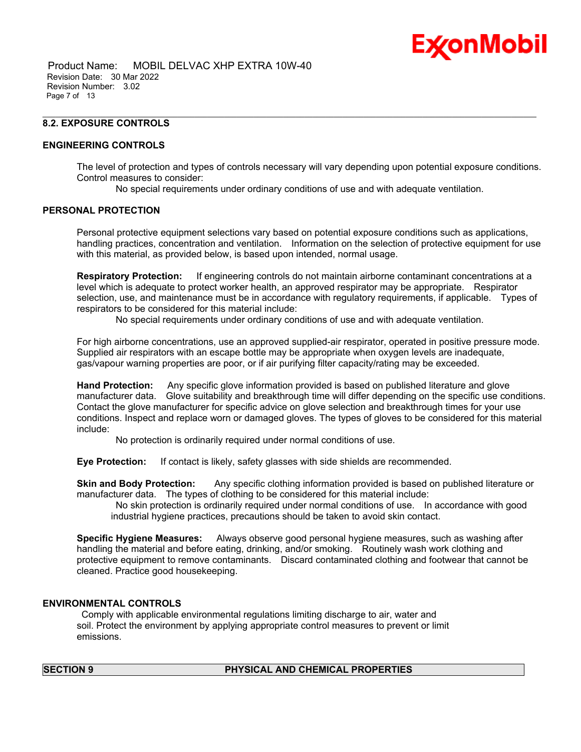# Ex⁄onMobil

 Product Name: MOBIL DELVAC XHP EXTRA 10W-40 Revision Date: 30 Mar 2022 Revision Number: 3.02 Page 7 of 13

## **8.2. EXPOSURE CONTROLS**

#### **ENGINEERING CONTROLS**

The level of protection and types of controls necessary will vary depending upon potential exposure conditions. Control measures to consider:

No special requirements under ordinary conditions of use and with adequate ventilation.

\_\_\_\_\_\_\_\_\_\_\_\_\_\_\_\_\_\_\_\_\_\_\_\_\_\_\_\_\_\_\_\_\_\_\_\_\_\_\_\_\_\_\_\_\_\_\_\_\_\_\_\_\_\_\_\_\_\_\_\_\_\_\_\_\_\_\_\_\_\_\_\_\_\_\_\_\_\_\_\_\_\_\_\_\_\_\_\_\_\_\_\_\_\_\_\_\_\_\_\_\_\_\_\_\_\_\_\_\_\_\_\_\_\_\_\_\_

#### **PERSONAL PROTECTION**

Personal protective equipment selections vary based on potential exposure conditions such as applications, handling practices, concentration and ventilation. Information on the selection of protective equipment for use with this material, as provided below, is based upon intended, normal usage.

**Respiratory Protection:** If engineering controls do not maintain airborne contaminant concentrations at a level which is adequate to protect worker health, an approved respirator may be appropriate. Respirator selection, use, and maintenance must be in accordance with regulatory requirements, if applicable. Types of respirators to be considered for this material include:

No special requirements under ordinary conditions of use and with adequate ventilation.

For high airborne concentrations, use an approved supplied-air respirator, operated in positive pressure mode. Supplied air respirators with an escape bottle may be appropriate when oxygen levels are inadequate, gas/vapour warning properties are poor, or if air purifying filter capacity/rating may be exceeded.

**Hand Protection:** Any specific glove information provided is based on published literature and glove manufacturer data. Glove suitability and breakthrough time will differ depending on the specific use conditions. Contact the glove manufacturer for specific advice on glove selection and breakthrough times for your use conditions. Inspect and replace worn or damaged gloves. The types of gloves to be considered for this material include:

No protection is ordinarily required under normal conditions of use.

**Eye Protection:** If contact is likely, safety glasses with side shields are recommended.

**Skin and Body Protection:** Any specific clothing information provided is based on published literature or manufacturer data. The types of clothing to be considered for this material include:

No skin protection is ordinarily required under normal conditions of use. In accordance with good industrial hygiene practices, precautions should be taken to avoid skin contact.

**Specific Hygiene Measures:** Always observe good personal hygiene measures, such as washing after handling the material and before eating, drinking, and/or smoking. Routinely wash work clothing and protective equipment to remove contaminants. Discard contaminated clothing and footwear that cannot be cleaned. Practice good housekeeping.

#### **ENVIRONMENTAL CONTROLS**

Comply with applicable environmental regulations limiting discharge to air, water and soil. Protect the environment by applying appropriate control measures to prevent or limit emissions.

#### **SECTION 9 PHYSICAL AND CHEMICAL PROPERTIES**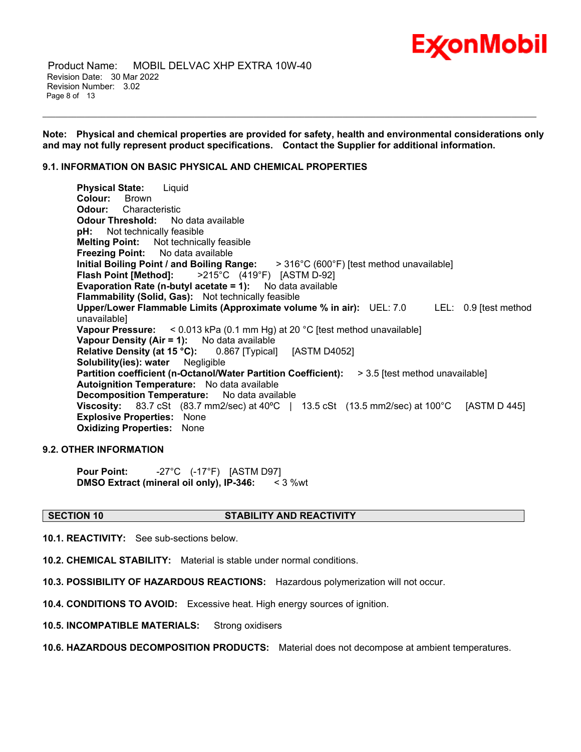## **ExconMobil**

 Product Name: MOBIL DELVAC XHP EXTRA 10W-40 Revision Date: 30 Mar 2022 Revision Number: 3.02 Page 8 of 13

**Note: Physical and chemical properties are provided for safety, health and environmental considerations only and may not fully represent product specifications. Contact the Supplier for additional information.**

\_\_\_\_\_\_\_\_\_\_\_\_\_\_\_\_\_\_\_\_\_\_\_\_\_\_\_\_\_\_\_\_\_\_\_\_\_\_\_\_\_\_\_\_\_\_\_\_\_\_\_\_\_\_\_\_\_\_\_\_\_\_\_\_\_\_\_\_\_\_\_\_\_\_\_\_\_\_\_\_\_\_\_\_\_\_\_\_\_\_\_\_\_\_\_\_\_\_\_\_\_\_\_\_\_\_\_\_\_\_\_\_\_\_\_\_\_

## **9.1. INFORMATION ON BASIC PHYSICAL AND CHEMICAL PROPERTIES**

**Physical State:** Liquid **Colour:** Brown<br>**Odour:** Charac **Odour:** Characteristic **Odour Threshold:** No data available **pH:** Not technically feasible **Melting Point:** Not technically feasible **Freezing Point:** No data available **Initial Boiling Point / and Boiling Range:** > 316°C (600°F) [test method unavailable] **Flash Point [Method]:** >215°C (419°F) [ASTM D-92] **Evaporation Rate (n-butyl acetate = 1):** No data available **Flammability (Solid, Gas):** Not technically feasible **Upper/Lower Flammable Limits (Approximate volume % in air):** UEL: 7.0 LEL: 0.9 [test method unavailable] **Vapour Pressure:** < 0.013 kPa (0.1 mm Hg) at 20 °C [test method unavailable] **Vapour Density (Air = 1):** No data available **Relative Density (at 15 °C):** 0.867 [Typical] [ASTM D4052] **Solubility(ies): water** Negligible **Partition coefficient (n-Octanol/Water Partition Coefficient):** > 3.5 [test method unavailable] **Autoignition Temperature:** No data available **Decomposition Temperature:** No data available **Viscosity:** 83.7 cSt (83.7 mm2/sec) at 40°C | 13.5 cSt (13.5 mm2/sec) at 100°C [ASTM D 445] **Explosive Properties:** None **Oxidizing Properties:** None

#### **9.2. OTHER INFORMATION**

**Pour Point:** -27°C (-17°F) [ASTM D97] **DMSO** Extract (mineral oil only), IP-346:

#### **SECTION 10 STABILITY AND REACTIVITY**

**10.1. REACTIVITY:** See sub-sections below.

**10.2. CHEMICAL STABILITY:** Material is stable under normal conditions.

**10.3. POSSIBILITY OF HAZARDOUS REACTIONS:** Hazardous polymerization will not occur.

**10.4. CONDITIONS TO AVOID:** Excessive heat. High energy sources of ignition.

**10.5. INCOMPATIBLE MATERIALS:** Strong oxidisers

**10.6. HAZARDOUS DECOMPOSITION PRODUCTS:** Material does not decompose at ambient temperatures.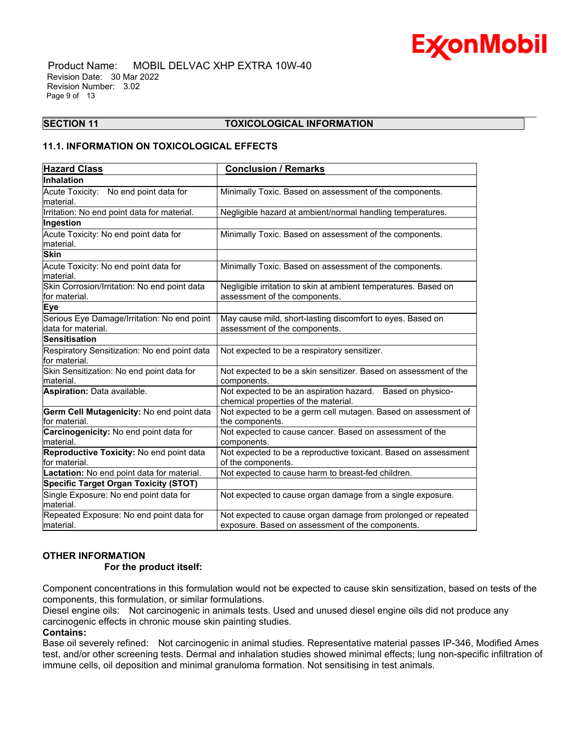

 Product Name: MOBIL DELVAC XHP EXTRA 10W-40 Revision Date: 30 Mar 2022 Revision Number: 3.02 Page 9 of 13

#### \_\_\_\_\_\_\_\_\_\_\_\_\_\_\_\_\_\_\_\_\_\_\_\_\_\_\_\_\_\_\_\_\_\_\_\_\_\_\_\_\_\_\_\_\_\_\_\_\_\_\_\_\_\_\_\_\_\_\_\_\_\_\_\_\_\_\_\_\_\_\_\_\_\_\_\_\_\_\_\_\_\_\_\_\_\_\_\_\_\_\_\_\_\_\_\_\_\_\_\_\_\_\_\_\_\_\_\_\_\_\_\_\_\_\_\_\_ **SECTION 11 TOXICOLOGICAL INFORMATION**

## **11.1. INFORMATION ON TOXICOLOGICAL EFFECTS**

| <b>Hazard Class</b>                                                | <b>Conclusion / Remarks</b>                                                                                       |
|--------------------------------------------------------------------|-------------------------------------------------------------------------------------------------------------------|
| <b>Inhalation</b>                                                  |                                                                                                                   |
| Acute Toxicity: No end point data for<br>material.                 | Minimally Toxic. Based on assessment of the components.                                                           |
| Irritation: No end point data for material.                        | Negligible hazard at ambient/normal handling temperatures.                                                        |
| Ingestion                                                          |                                                                                                                   |
| Acute Toxicity: No end point data for<br>material.                 | Minimally Toxic. Based on assessment of the components.                                                           |
| <b>Skin</b>                                                        |                                                                                                                   |
| Acute Toxicity: No end point data for<br>lmaterial.                | Minimally Toxic. Based on assessment of the components.                                                           |
| Skin Corrosion/Irritation: No end point data<br>for material.      | Negligible irritation to skin at ambient temperatures. Based on<br>assessment of the components.                  |
| <b>Eye</b>                                                         |                                                                                                                   |
| Serious Eye Damage/Irritation: No end point<br>ldata for material. | May cause mild, short-lasting discomfort to eyes. Based on<br>assessment of the components.                       |
| <b>Sensitisation</b>                                               |                                                                                                                   |
| Respiratory Sensitization: No end point data<br>lfor material.     | Not expected to be a respiratory sensitizer.                                                                      |
| Skin Sensitization: No end point data for<br>lmaterial.            | Not expected to be a skin sensitizer. Based on assessment of the<br>components.                                   |
| Aspiration: Data available.                                        | Not expected to be an aspiration hazard. Based on physico-<br>chemical properties of the material.                |
| Germ Cell Mutagenicity: No end point data<br>for material.         | Not expected to be a germ cell mutagen. Based on assessment of<br>the components.                                 |
| Carcinogenicity: No end point data for<br>material.                | Not expected to cause cancer. Based on assessment of the<br>components.                                           |
| Reproductive Toxicity: No end point data<br>lfor material.         | Not expected to be a reproductive toxicant. Based on assessment<br>of the components.                             |
| Lactation: No end point data for material.                         | Not expected to cause harm to breast-fed children.                                                                |
| <b>Specific Target Organ Toxicity (STOT)</b>                       |                                                                                                                   |
| Single Exposure: No end point data for<br>lmaterial.               | Not expected to cause organ damage from a single exposure.                                                        |
| Repeated Exposure: No end point data for<br>material.              | Not expected to cause organ damage from prolonged or repeated<br>exposure. Based on assessment of the components. |

#### **OTHER INFORMATION**

#### **For the product itself:**

Component concentrations in this formulation would not be expected to cause skin sensitization, based on tests of the components, this formulation, or similar formulations.

Diesel engine oils: Not carcinogenic in animals tests. Used and unused diesel engine oils did not produce any carcinogenic effects in chronic mouse skin painting studies.

## **Contains:**

Base oil severely refined: Not carcinogenic in animal studies. Representative material passes IP-346, Modified Ames test, and/or other screening tests. Dermal and inhalation studies showed minimal effects; lung non-specific infiltration of immune cells, oil deposition and minimal granuloma formation. Not sensitising in test animals.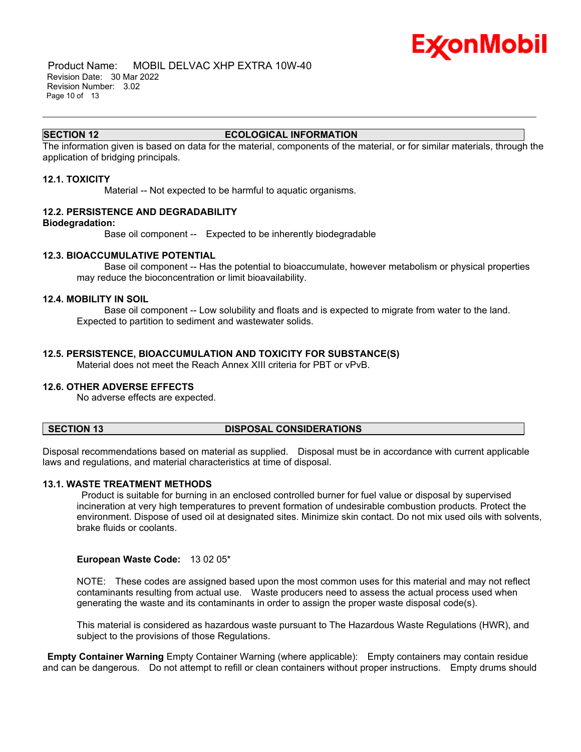

 Product Name: MOBIL DELVAC XHP EXTRA 10W-40 Revision Date: 30 Mar 2022 Revision Number: 3.02 Page 10 of 13

#### **SECTION 12 ECOLOGICAL INFORMATION**

\_\_\_\_\_\_\_\_\_\_\_\_\_\_\_\_\_\_\_\_\_\_\_\_\_\_\_\_\_\_\_\_\_\_\_\_\_\_\_\_\_\_\_\_\_\_\_\_\_\_\_\_\_\_\_\_\_\_\_\_\_\_\_\_\_\_\_\_\_\_\_\_\_\_\_\_\_\_\_\_\_\_\_\_\_\_\_\_\_\_\_\_\_\_\_\_\_\_\_\_\_\_\_\_\_\_\_\_\_\_\_\_\_\_\_\_\_

The information given is based on data for the material, components of the material, or for similar materials, through the application of bridging principals.

#### **12.1. TOXICITY**

Material -- Not expected to be harmful to aquatic organisms.

#### **12.2. PERSISTENCE AND DEGRADABILITY**

#### **Biodegradation:**

Base oil component -- Expected to be inherently biodegradable

#### **12.3. BIOACCUMULATIVE POTENTIAL**

 Base oil component -- Has the potential to bioaccumulate, however metabolism or physical properties may reduce the bioconcentration or limit bioavailability.

#### **12.4. MOBILITY IN SOIL**

 Base oil component -- Low solubility and floats and is expected to migrate from water to the land. Expected to partition to sediment and wastewater solids.

#### **12.5. PERSISTENCE, BIOACCUMULATION AND TOXICITY FOR SUBSTANCE(S)**

Material does not meet the Reach Annex XIII criteria for PBT or vPvB.

#### **12.6. OTHER ADVERSE EFFECTS**

No adverse effects are expected.

#### **SECTION 13 DISPOSAL CONSIDERATIONS**

Disposal recommendations based on material as supplied. Disposal must be in accordance with current applicable laws and regulations, and material characteristics at time of disposal.

#### **13.1. WASTE TREATMENT METHODS**

Product is suitable for burning in an enclosed controlled burner for fuel value or disposal by supervised incineration at very high temperatures to prevent formation of undesirable combustion products. Protect the environment. Dispose of used oil at designated sites. Minimize skin contact. Do not mix used oils with solvents, brake fluids or coolants.

#### **European Waste Code:** 13 02 05\*

NOTE: These codes are assigned based upon the most common uses for this material and may not reflect contaminants resulting from actual use. Waste producers need to assess the actual process used when generating the waste and its contaminants in order to assign the proper waste disposal code(s).

This material is considered as hazardous waste pursuant to The Hazardous Waste Regulations (HWR), and subject to the provisions of those Regulations.

**Empty Container Warning** Empty Container Warning (where applicable): Empty containers may contain residue and can be dangerous. Do not attempt to refill or clean containers without proper instructions. Empty drums should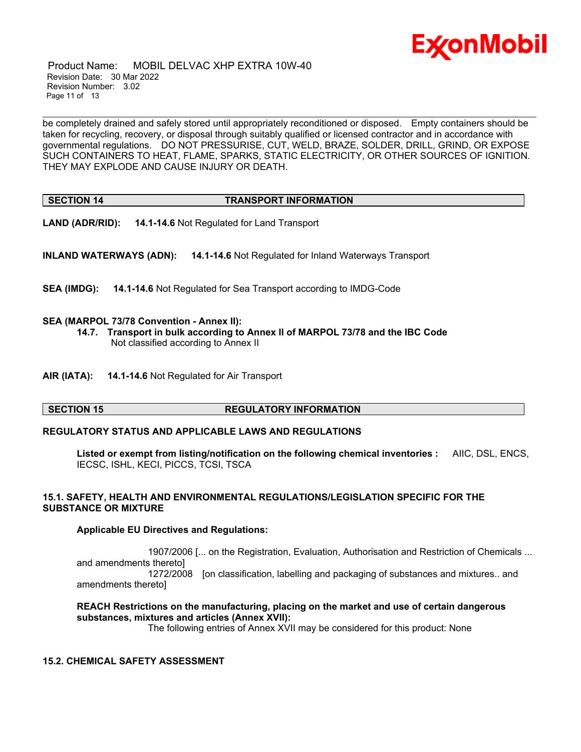

 Product Name: MOBIL DELVAC XHP EXTRA 10W-40 Revision Date: 30 Mar 2022 Revision Number: 3.02 Page 11 of 13

be completely drained and safely stored until appropriately reconditioned or disposed. Empty containers should be taken for recycling, recovery, or disposal through suitably qualified or licensed contractor and in accordance with governmental regulations. DO NOT PRESSURISE, CUT, WELD, BRAZE, SOLDER, DRILL, GRIND, OR EXPOSE SUCH CONTAINERS TO HEAT, FLAME, SPARKS, STATIC ELECTRICITY, OR OTHER SOURCES OF IGNITION. THEY MAY EXPLODE AND CAUSE INJURY OR DEATH.

\_\_\_\_\_\_\_\_\_\_\_\_\_\_\_\_\_\_\_\_\_\_\_\_\_\_\_\_\_\_\_\_\_\_\_\_\_\_\_\_\_\_\_\_\_\_\_\_\_\_\_\_\_\_\_\_\_\_\_\_\_\_\_\_\_\_\_\_\_\_\_\_\_\_\_\_\_\_\_\_\_\_\_\_\_\_\_\_\_\_\_\_\_\_\_\_\_\_\_\_\_\_\_\_\_\_\_\_\_\_\_\_\_\_\_\_\_

## **SECTION 14 TRANSPORT INFORMATION**

**LAND (ADR/RID): 14.1-14.6** Not Regulated for Land Transport

**INLAND WATERWAYS (ADN): 14.1-14.6** Not Regulated for Inland Waterways Transport

**SEA (IMDG): 14.1-14.6** Not Regulated for Sea Transport according to IMDG-Code

#### **SEA (MARPOL 73/78 Convention - Annex II):**

- **14.7. Transport in bulk according to Annex II of MARPOL 73/78 and the IBC Code** Not classified according to Annex II
- **AIR (IATA): 14.1-14.6** Not Regulated for Air Transport

#### **SECTION 15 REGULATORY INFORMATION**

#### **REGULATORY STATUS AND APPLICABLE LAWS AND REGULATIONS**

**Listed or exempt from listing/notification on the following chemical inventories :** AIIC, DSL, ENCS, IECSC, ISHL, KECI, PICCS, TCSI, TSCA

#### **15.1. SAFETY, HEALTH AND ENVIRONMENTAL REGULATIONS/LEGISLATION SPECIFIC FOR THE SUBSTANCE OR MIXTURE**

#### **Applicable EU Directives and Regulations:**

 1907/2006 [... on the Registration, Evaluation, Authorisation and Restriction of Chemicals ... and amendments thereto] 1272/2008 [on classification, labelling and packaging of substances and mixtures.. and amendments thereto]

## **REACH Restrictions on the manufacturing, placing on the market and use of certain dangerous substances, mixtures and articles (Annex XVII):**

The following entries of Annex XVII may be considered for this product: None

#### **15.2. CHEMICAL SAFETY ASSESSMENT**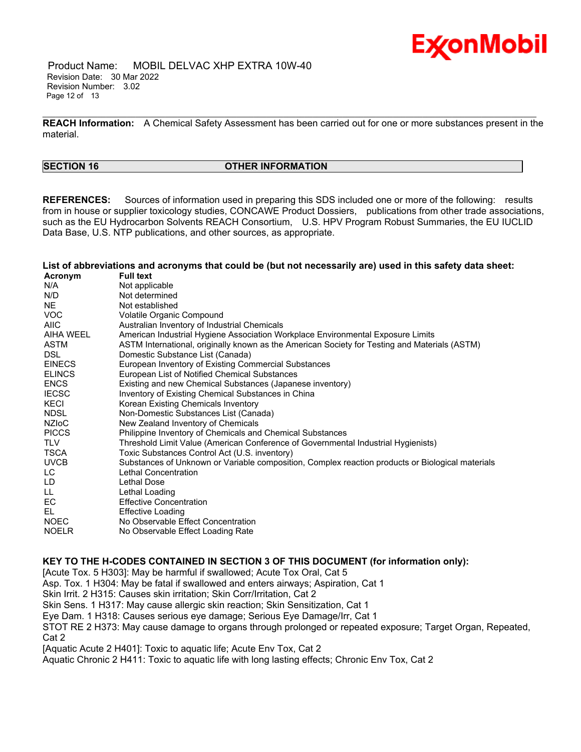

 Product Name: MOBIL DELVAC XHP EXTRA 10W-40 Revision Date: 30 Mar 2022 Revision Number: 3.02 Page 12 of 13

\_\_\_\_\_\_\_\_\_\_\_\_\_\_\_\_\_\_\_\_\_\_\_\_\_\_\_\_\_\_\_\_\_\_\_\_\_\_\_\_\_\_\_\_\_\_\_\_\_\_\_\_\_\_\_\_\_\_\_\_\_\_\_\_\_\_\_\_\_\_\_\_\_\_\_\_\_\_\_\_\_\_\_\_\_\_\_\_\_\_\_\_\_\_\_\_\_\_\_\_\_\_\_\_\_\_\_\_\_\_\_\_\_\_\_\_\_ **REACH Information:** A Chemical Safety Assessment has been carried out for one or more substances present in the material.

#### **SECTION 16 OTHER INFORMATION**

**REFERENCES:** Sources of information used in preparing this SDS included one or more of the following: results from in house or supplier toxicology studies, CONCAWE Product Dossiers, publications from other trade associations, such as the EU Hydrocarbon Solvents REACH Consortium, U.S. HPV Program Robust Summaries, the EU IUCLID Data Base, U.S. NTP publications, and other sources, as appropriate.

List of abbreviations and acronyms that could be (but not necessarily are) used in this safety data sheet:

| Acronym       | <b>Full text</b>                                                                                 |
|---------------|--------------------------------------------------------------------------------------------------|
| N/A           | Not applicable                                                                                   |
| N/D           | Not determined                                                                                   |
| NE            | Not established                                                                                  |
| <b>VOC</b>    | Volatile Organic Compound                                                                        |
| <b>AIIC</b>   | Australian Inventory of Industrial Chemicals                                                     |
| AIHA WEEL     | American Industrial Hygiene Association Workplace Environmental Exposure Limits                  |
| ASTM          | ASTM International, originally known as the American Society for Testing and Materials (ASTM)    |
| <b>DSL</b>    | Domestic Substance List (Canada)                                                                 |
| <b>EINECS</b> | European Inventory of Existing Commercial Substances                                             |
| <b>ELINCS</b> | European List of Notified Chemical Substances                                                    |
| <b>ENCS</b>   | Existing and new Chemical Substances (Japanese inventory)                                        |
| <b>IECSC</b>  | Inventory of Existing Chemical Substances in China                                               |
| KECI          | Korean Existing Chemicals Inventory                                                              |
| NDSL          | Non-Domestic Substances List (Canada)                                                            |
| <b>NZIOC</b>  | New Zealand Inventory of Chemicals                                                               |
| <b>PICCS</b>  | Philippine Inventory of Chemicals and Chemical Substances                                        |
| <b>TLV</b>    | Threshold Limit Value (American Conference of Governmental Industrial Hygienists)                |
| <b>TSCA</b>   | Toxic Substances Control Act (U.S. inventory)                                                    |
| <b>UVCB</b>   | Substances of Unknown or Variable composition, Complex reaction products or Biological materials |
| LC            | Lethal Concentration                                                                             |
| LD            | Lethal Dose                                                                                      |
| LL.           | Lethal Loading                                                                                   |
| EC            | <b>Effective Concentration</b>                                                                   |
| EL            | <b>Effective Loading</b>                                                                         |
| <b>NOEC</b>   | No Observable Effect Concentration                                                               |
| <b>NOELR</b>  | No Observable Effect Loading Rate                                                                |
|               |                                                                                                  |

**KEY TO THE H-CODES CONTAINED IN SECTION 3 OF THIS DOCUMENT (for information only):**

[Acute Tox. 5 H303]: May be harmful if swallowed; Acute Tox Oral, Cat 5

Asp. Tox. 1 H304: May be fatal if swallowed and enters airways; Aspiration, Cat 1

Skin Irrit. 2 H315: Causes skin irritation; Skin Corr/Irritation, Cat 2

Skin Sens. 1 H317: May cause allergic skin reaction; Skin Sensitization, Cat 1

Eye Dam. 1 H318: Causes serious eye damage; Serious Eye Damage/Irr, Cat 1

STOT RE 2 H373: May cause damage to organs through prolonged or repeated exposure; Target Organ, Repeated, Cat 2

[Aquatic Acute 2 H401]: Toxic to aquatic life; Acute Env Tox, Cat 2

Aquatic Chronic 2 H411: Toxic to aquatic life with long lasting effects; Chronic Env Tox, Cat 2